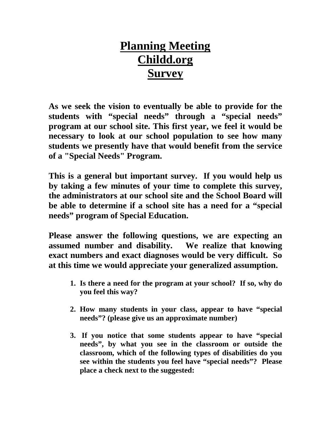## **Planning Meeting Childd.org Survey**

**As we seek the vision to eventually be able to provide for the students with "special needs" through a "special needs" program at our school site. This first year, we feel it would be necessary to look at our school population to see how many students we presently have that would benefit from the service of a "Special Needs" Program.** 

**This is a general but important survey. If you would help us by taking a few minutes of your time to complete this survey, the administrators at our school site and the School Board will be able to determine if a school site has a need for a "special needs" program of Special Education.** 

**Please answer the following questions, we are expecting an assumed number and disability. We realize that knowing exact numbers and exact diagnoses would be very difficult. So at this time we would appreciate your generalized assumption.** 

- **1. Is there a need for the program at your school? If so, why do you feel this way?**
- **2. How many students in your class, appear to have "special needs"? (please give us an approximate number)**
- **3. If you notice that some students appear to have "special needs", by what you see in the classroom or outside the classroom, which of the following types of disabilities do you see within the students you feel have "special needs"? Please place a check next to the suggested:**